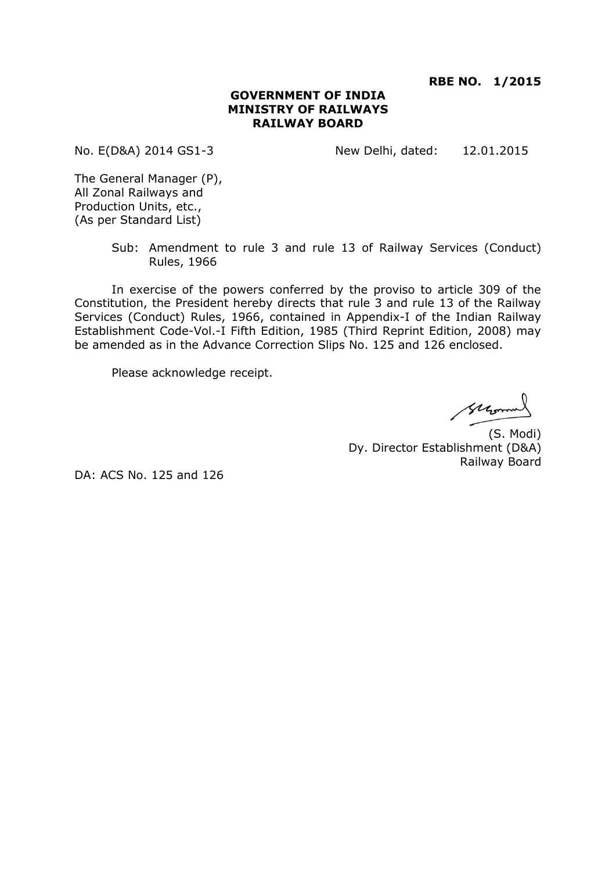**RBE NO. 1/2015**

#### **GOVERNMENT OF INDIA MINISTRY OF RAILWAYS RAILWAY BOARD**

No. E(D&A) 2014 GS1-3 New Delhi, dated: 12.01.2015

The General Manager (P), All Zonal Railways and Production Units, etc., (As per Standard List)

> Sub: Amendment to rule 3 and rule 13 of Railway Services (Conduct) Rules, 1966

In exercise of the powers conferred by the proviso to article 309 of the Constitution, the President hereby directs that rule 3 and rule 13 of the Railway Services (Conduct) Rules, 1966, contained in Appendix-I of the Indian Railway Establishment Code-Vol.-I Fifth Edition, 1985 (Third Reprint Edition, 2008) may be amended as in the Advance Correction Slips No. 125 and 126 enclosed.

Please acknowledge receipt.

suromal

(S. Modi) Dy. Director Establishment (D&A) Railway Board

DA: ACS No. 125 and 126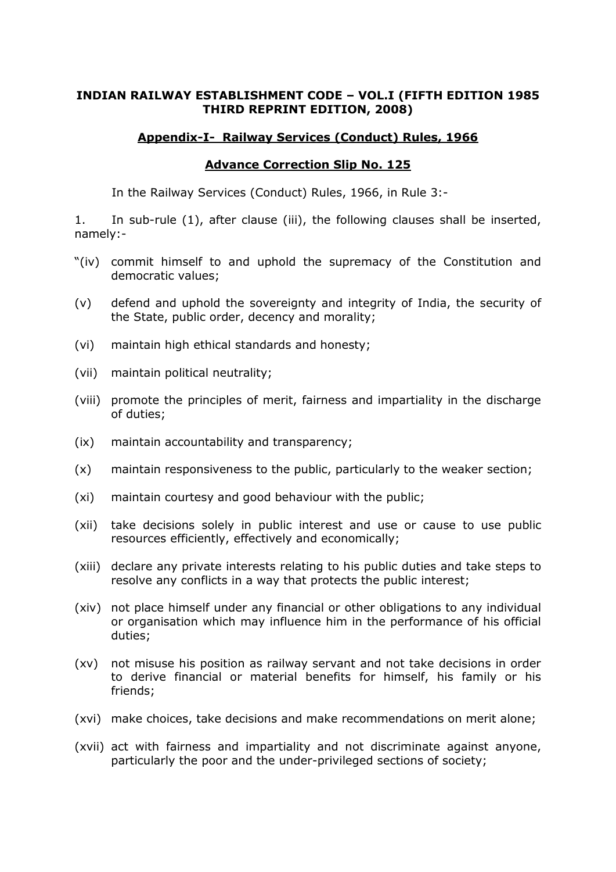### **INDIAN RAILWAY ESTABLISHMENT CODE – VOL.I (FIFTH EDITION 1985 THIRD REPRINT EDITION, 2008)**

### **Appendix-I- Railway Services (Conduct) Rules, 1966**

### **Advance Correction Slip No. 125**

In the Railway Services (Conduct) Rules, 1966, in Rule 3:-

1. In sub-rule (1), after clause (iii), the following clauses shall be inserted, namely:-

- "(iv) commit himself to and uphold the supremacy of the Constitution and democratic values;
- (v) defend and uphold the sovereignty and integrity of India, the security of the State, public order, decency and morality;
- (vi) maintain high ethical standards and honesty;
- (vii) maintain political neutrality;
- (viii) promote the principles of merit, fairness and impartiality in the discharge of duties;
- (ix) maintain accountability and transparency;
- (x) maintain responsiveness to the public, particularly to the weaker section;
- (xi) maintain courtesy and good behaviour with the public;
- (xii) take decisions solely in public interest and use or cause to use public resources efficiently, effectively and economically;
- (xiii) declare any private interests relating to his public duties and take steps to resolve any conflicts in a way that protects the public interest;
- (xiv) not place himself under any financial or other obligations to any individual or organisation which may influence him in the performance of his official duties;
- (xv) not misuse his position as railway servant and not take decisions in order to derive financial or material benefits for himself, his family or his friends;
- (xvi) make choices, take decisions and make recommendations on merit alone;
- (xvii) act with fairness and impartiality and not discriminate against anyone, particularly the poor and the under-privileged sections of society;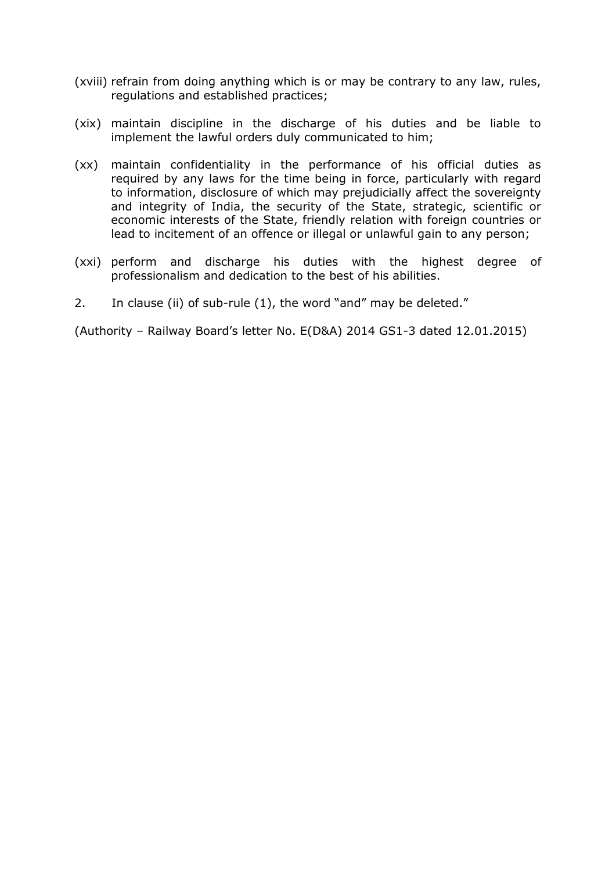- (xviii) refrain from doing anything which is or may be contrary to any law, rules, regulations and established practices;
- (xix) maintain discipline in the discharge of his duties and be liable to implement the lawful orders duly communicated to him;
- (xx) maintain confidentiality in the performance of his official duties as required by any laws for the time being in force, particularly with regard to information, disclosure of which may prejudicially affect the sovereignty and integrity of India, the security of the State, strategic, scientific or economic interests of the State, friendly relation with foreign countries or lead to incitement of an offence or illegal or unlawful gain to any person;
- (xxi) perform and discharge his duties with the highest degree of professionalism and dedication to the best of his abilities.
- 2. In clause (ii) of sub-rule (1), the word "and" may be deleted."

(Authority – Railway Board's letter No. E(D&A) 2014 GS1-3 dated 12.01.2015)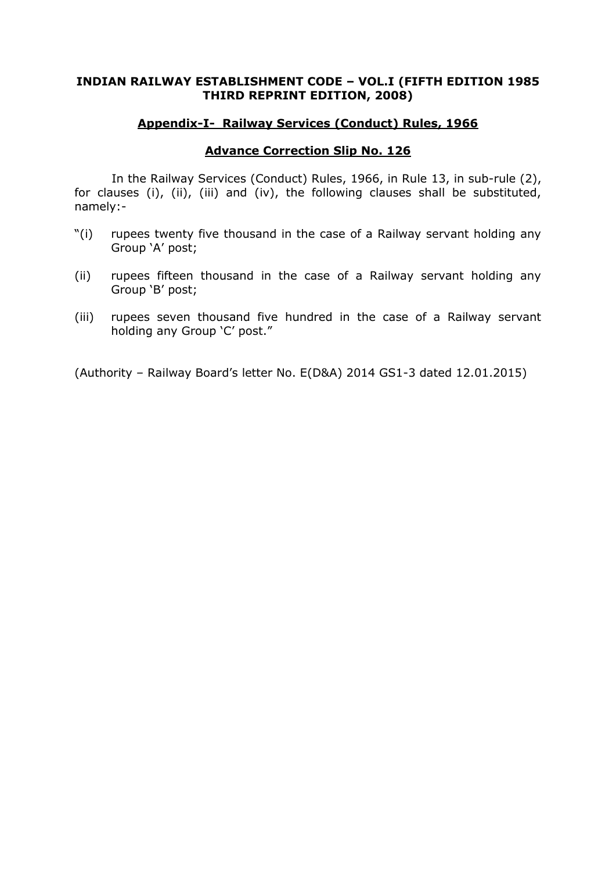### **INDIAN RAILWAY ESTABLISHMENT CODE – VOL.I (FIFTH EDITION 1985 THIRD REPRINT EDITION, 2008)**

#### **Appendix-I- Railway Services (Conduct) Rules, 1966**

#### **Advance Correction Slip No. 126**

In the Railway Services (Conduct) Rules, 1966, in Rule 13, in sub-rule (2), for clauses (i), (ii), (iii) and (iv), the following clauses shall be substituted, namely:-

- "(i) rupees twenty five thousand in the case of a Railway servant holding any Group 'A' post;
- (ii) rupees fifteen thousand in the case of a Railway servant holding any Group 'B' post;
- (iii) rupees seven thousand five hundred in the case of a Railway servant holding any Group 'C' post."

(Authority – Railway Board's letter No. E(D&A) 2014 GS1-3 dated 12.01.2015)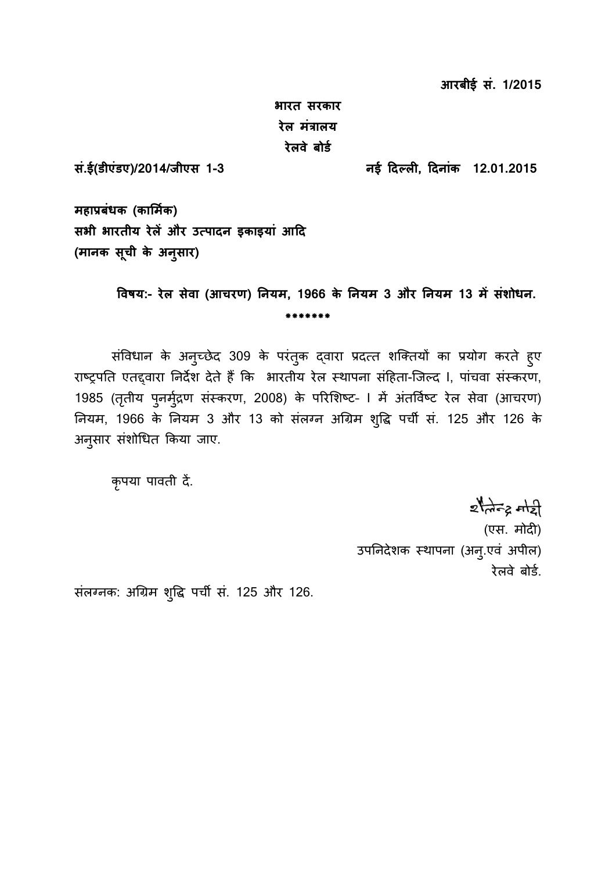**आरबीई सं. 1/2015**

**भारत सरकार रेल मंत्रालय रेलवे बोर्ड**

**सं.ई(र्ीएंर्ए)/2014/जीएस 1-3 नई दिल ली0, दिनांक 12.01.2015**

**महाप्रबंधक (कार्मडक) सभी भारतीय रेलें और उत पािन ाकाायां आदि (मानक सूची के अनुसार)**

> **ववषय:- रेल सेवा (आचरण) ननयम, 1966 के ननयम 3 और ननयम 13 में संशोधन. \*\*\*\*\*\*\***

संविधान के अनुच्छेद 309 के परंतुक द्वारा प्रदत्त शक्तियों का प्रयोग करते हुए राष्ट्रपति एतद्दवारा निर्देश देते हैं कि भारतीय रेल स्थापना संहिता-जिल्द I, पांचवा संस्करण, 1985 (तृतीय पुनर्मुद्रण संस्करण, 2008) के परिशिष्ट- । में अंतर्विष्ट रेल सेवा (आचरण) नियम, 1966 के नियम 3 और 13 को संलग्न अग्रिम शुद्धि पर्ची सं. 125 और 126 के अनुसार संशोधित किया जाए.

कृपया पावती दें.

 $z$ tato a  $z$ 

(एस. र्ोदी) उपनिदेशक स्थापना (अन्.एवं अपील) रेलवे बोर्ड.

संलग्नक: अग्रिम शुद्धि पर्ची सं. 125 और 126.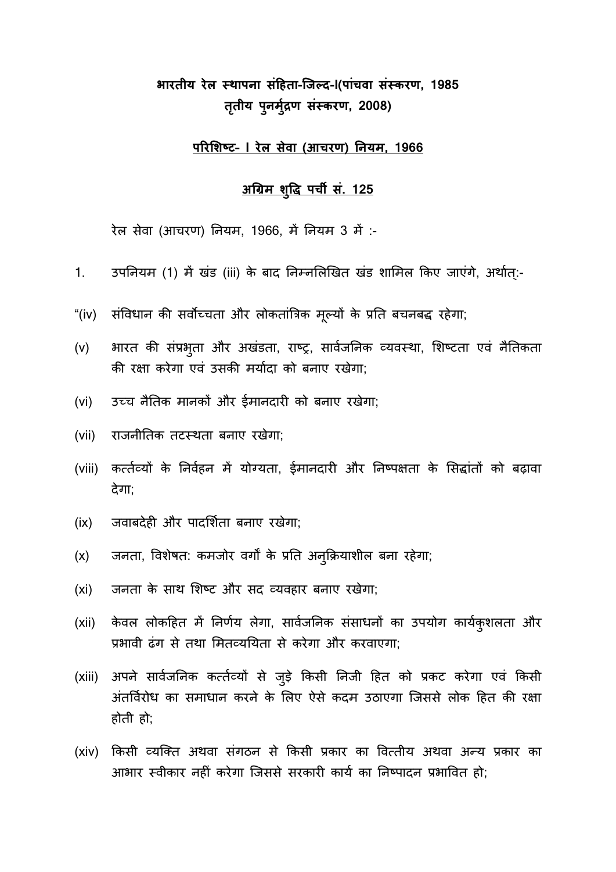# **भारतीय रेल स् ाापना संदहता-जजल ि-I(पांचवा संस् करण, 1985 ततृ ीय पुनमुद्रड ण संस्करण, 2008)**

### **पररर्शष् े– I रेल सेवा (आचरण) ननयम, 1966**

### **अग्रिम शुवि पची सं. 125**

रेल सेवा (आचरण) नियम, 1966, में नियम 3 में :-

- 1. उपनियम (1) में खंड (iii) के बाद निम्नलिखित खंड शामिल किए जाएंगे, अर्थात:-
- "(iv) संविधान की सर्वोच्चता और लोकतांत्रिक मूल्यों के प्रति बचनबद्ध रहेगा;
- (v) भारत की संप्रभुता और अखंडता, राष्ट्र, सार्वजनिक व्यवस्था, शिष्टता एवं नैतिकता की रक्षा करेगा एवं उसकी मर्यादा को बनाए रखेगा:
- (vi) उच्च नैतिक मानकों और ईमानदारी को बनाए रखेगा;
- (vii) राजनीतिक तटस्थता बनाए रखेगा;
- (viii) कर्त्तव्यों के निर्वहन में योग्यता, ईमानदारी और निष्पक्षता के सिद्धांतों को बढ़ावा देगा;
- (ix) जवाबदेही और पादर्शिता बनाए रखेगा;
- (x) जनता, विशेषत: कमजोर वर्गों के प्रति अनुक्रियाशील बना रहेगा;
- (xi) जनता के साथ शिष्ट और सद व्यवहार बनाए रखेगा;
- (xii) केवल लोकहित में निर्णय लेगा, सार्वजनिक संसाधनों का उपयोग कार्यकुशलता और प्रभावी ढंग से तथा मितव्ययिता से करेगा और करवाएगा:
- (xiii) अपने सार्वजनिक कर्त्तव्यों से जुड़े किसी निजी हित को प्रकट करेगा एवं किसी अंतर्विरोध का समाधान करने के लिए ऐसे कदम उठाएगा जिससे लोक हित की रक्षा होती हो;
- (xiv) किसी व्यक्ति अथवा संगठन से किसी प्रकार का वित्तीय अथवा अन्य प्रकार का आभार स्वीकार नहीं करेगा जिससे सरकारी कार्य का निष्पादन प्रभावित हो: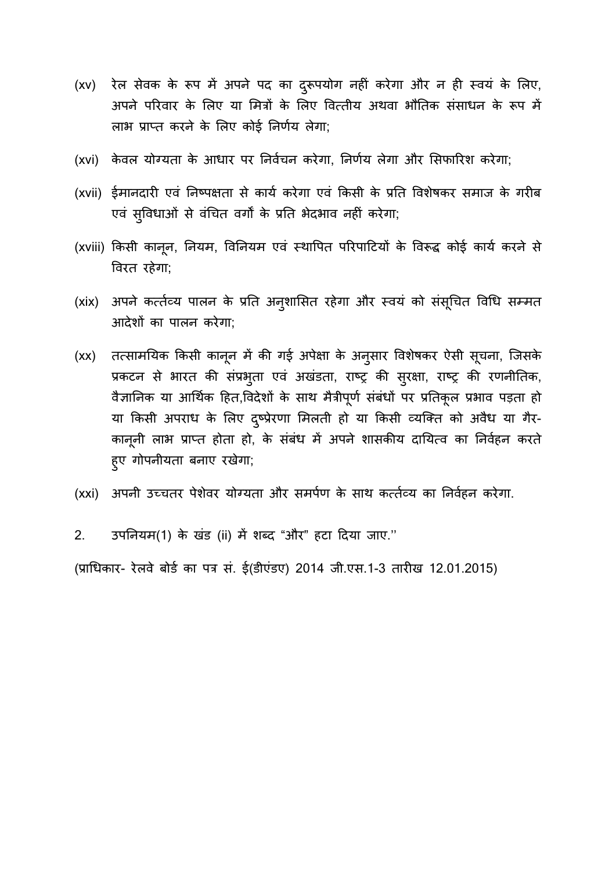- (xv) रेल सेवक के रूप में अपने पद का दुरूपयोग नहीं करेगा और न ही स्वयं के लिए, अपने परिवार के लिए या मित्रों के लिए वित्तीय अथवा भौतिक संसाधन के रूप में लाभ प्राप्त करने के लिए कोई निर्णय लेगा;
- (xvi) केवल योग्यता के आधार पर निर्वचन करेगा, निर्णय लेगा और सिफारिश करेगा;
- (xvii) ईमानदारी एवं निष्पक्षता से कार्य करेगा एवं किसी के प्रति विशेषकर समाज के गरीब एवं सुविधाओं से वंचित वर्गों के प्रति भेदभाव नहीं करेगा;
- (xviii) किसी कानून, नियम, विनियम एवं स्थापित परिपाटियों के विरूद्ध कोई कार्य करने से विरत रहेगा;
- (xix) अपने कर्त्तव्य पालन के प्रति अनुशासित रहेगा और स्वयं को संसूचित विधि सम्मत आदेशों का पालन करेगा;
- (xx) तत्सामयिक किसी कानून में की गई अपेक्षा के अनुसार विशेषकर ऐसी सूचना, जिसके प्रकटन से भारत की संप्रभुता एवं अखंडता, राष्ट्र की सुरक्षा, राष्ट्र की रणनीतिक, वैज्ञानिक या आर्थिक हित,विदेशों के साथ मैत्रीपूर्ण संबंधों पर प्रतिकूल प्रभाव पड़ता हो या किसी अपराध के लिए द्ष्प्रेरणा मिलती हो या किसी व्यक्ति को अवैध या गैर-कानूनी लाभ प्राप्त होता हो, के संबंध में अपने शासकीय दायित्व का निर्वहन करते हुए गोपनरोता बनाए रखेगा;
- (xxi) अपनी उच्चतर पेशेवर योग्यता और समर्पण के साथ कर्त्तव्य का निर्वहन करेगा.
- 2. उपनियम(1) के खंड (ii) में शब्द "और" हटा दिया जाए."

(प्राधिकार- रेलवे बोर्ड का पत्र सं. ई(डीएंडए) 2014 जी.एस.1-3 तारीख 12.01.2015)